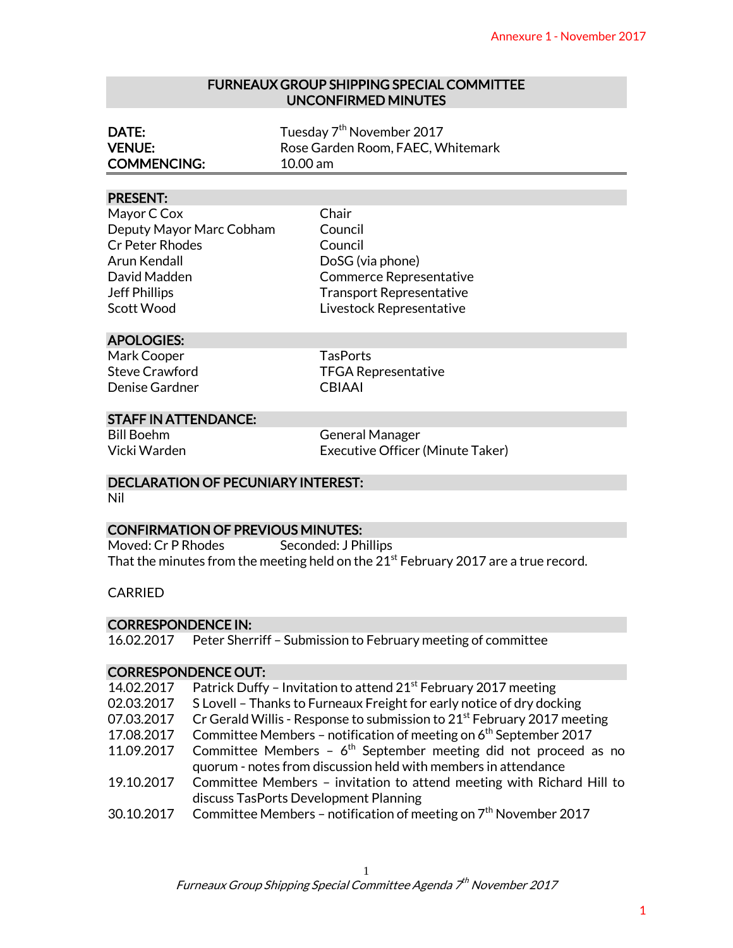#### FURNEAUX GROUP SHIPPING SPECIAL COMMITTEE UNCONFIRMED MINUTES

| DATE:              | Tuesday 7 <sup>th</sup> November 2017 |
|--------------------|---------------------------------------|
| <b>VENUE:</b>      | Rose Garden Room, FAEC, Whitemark     |
| <b>COMMENCING:</b> | $10.00$ am                            |

#### PRESENT:

# Scott Wood **Livestock Representative**

# APOLOGIES:

# STAFF IN ATTENDANCE:

#### DECLARATION OF PECUNIARY INTEREST:

# CONFIRMATION OF PREVIOUS MINUTES:

#### **CARRIED**

#### CORRESPONDENCE IN:

# CORRESPONDENCE OUT:

|                                                                                |                                           | Annexure 1 - November 2017                                                                                                          |
|--------------------------------------------------------------------------------|-------------------------------------------|-------------------------------------------------------------------------------------------------------------------------------------|
| <b>FURNEAUX GROUP SHIPPING SPECIAL COMMITTEE</b><br><b>UNCONFIRMED MINUTES</b> |                                           |                                                                                                                                     |
| DATE:<br><b>VENUE:</b><br><b>COMMENCING:</b>                                   |                                           | Tuesday 7 <sup>th</sup> November 2017<br>Rose Garden Room, FAEC, Whitemark<br>10.00 am                                              |
| <b>PRESENT:</b>                                                                |                                           |                                                                                                                                     |
| Mayor C Cox                                                                    |                                           | Chair                                                                                                                               |
|                                                                                | Deputy Mayor Marc Cobham                  | Council                                                                                                                             |
| <b>Cr Peter Rhodes</b>                                                         |                                           | Council                                                                                                                             |
| Arun Kendall                                                                   |                                           | DoSG (via phone)                                                                                                                    |
| David Madden                                                                   |                                           | <b>Commerce Representative</b>                                                                                                      |
| <b>Jeff Phillips</b>                                                           |                                           | <b>Transport Representative</b>                                                                                                     |
| Scott Wood                                                                     |                                           | Livestock Representative                                                                                                            |
| <b>APOLOGIES:</b>                                                              |                                           |                                                                                                                                     |
| Mark Cooper                                                                    |                                           | <b>TasPorts</b>                                                                                                                     |
| <b>Steve Crawford</b>                                                          |                                           | <b>TFGA Representative</b>                                                                                                          |
| Denise Gardner                                                                 |                                           | <b>CBIAAI</b>                                                                                                                       |
|                                                                                | <b>STAFF IN ATTENDANCE:</b>               |                                                                                                                                     |
| <b>Bill Boehm</b>                                                              |                                           | <b>General Manager</b>                                                                                                              |
| Vicki Warden                                                                   |                                           | Executive Officer (Minute Taker)                                                                                                    |
| Nil                                                                            | <b>DECLARATION OF PECUNIARY INTEREST:</b> |                                                                                                                                     |
|                                                                                |                                           |                                                                                                                                     |
|                                                                                | <b>CONFIRMATION OF PREVIOUS MINUTES:</b>  |                                                                                                                                     |
| Moved: Cr P Rhodes                                                             |                                           | Seconded: J Phillips                                                                                                                |
|                                                                                |                                           | That the minutes from the meeting held on the $21st$ February 2017 are a true record.                                               |
| <b>CARRIED</b>                                                                 |                                           |                                                                                                                                     |
| <b>CORRESPONDENCE IN:</b>                                                      |                                           |                                                                                                                                     |
| 16.02.2017                                                                     |                                           | Peter Sherriff - Submission to February meeting of committee                                                                        |
|                                                                                | <b>CORRESPONDENCE OUT:</b>                |                                                                                                                                     |
| 14.02.2017                                                                     |                                           | Patrick Duffy - Invitation to attend 21 <sup>st</sup> February 2017 meeting                                                         |
| 02.03.2017                                                                     |                                           | S Lovell - Thanks to Furneaux Freight for early notice of dry docking                                                               |
| 07.03.2017                                                                     |                                           | Cr Gerald Willis - Response to submission to 21 <sup>st</sup> February 2017 meeting                                                 |
| 17.08.2017                                                                     |                                           | Committee Members - notification of meeting on 6 <sup>th</sup> September 2017                                                       |
| 11.09.2017                                                                     |                                           | Committee Members - $6th$ September meeting did not proceed as no<br>quorum - notes from discussion held with members in attendance |
| 19.10.2017                                                                     |                                           | Committee Members - invitation to attend meeting with Richard Hill to                                                               |
|                                                                                |                                           | discuss TasPorts Development Planning                                                                                               |
| 30.10.2017                                                                     |                                           | Committee Members - notification of meeting on $7th$ November 2017                                                                  |
|                                                                                |                                           |                                                                                                                                     |
|                                                                                |                                           | 1                                                                                                                                   |
|                                                                                |                                           | Furneaux Group Shipping Special Committee Agenda 7 <sup>th</sup> November 2017                                                      |
|                                                                                |                                           |                                                                                                                                     |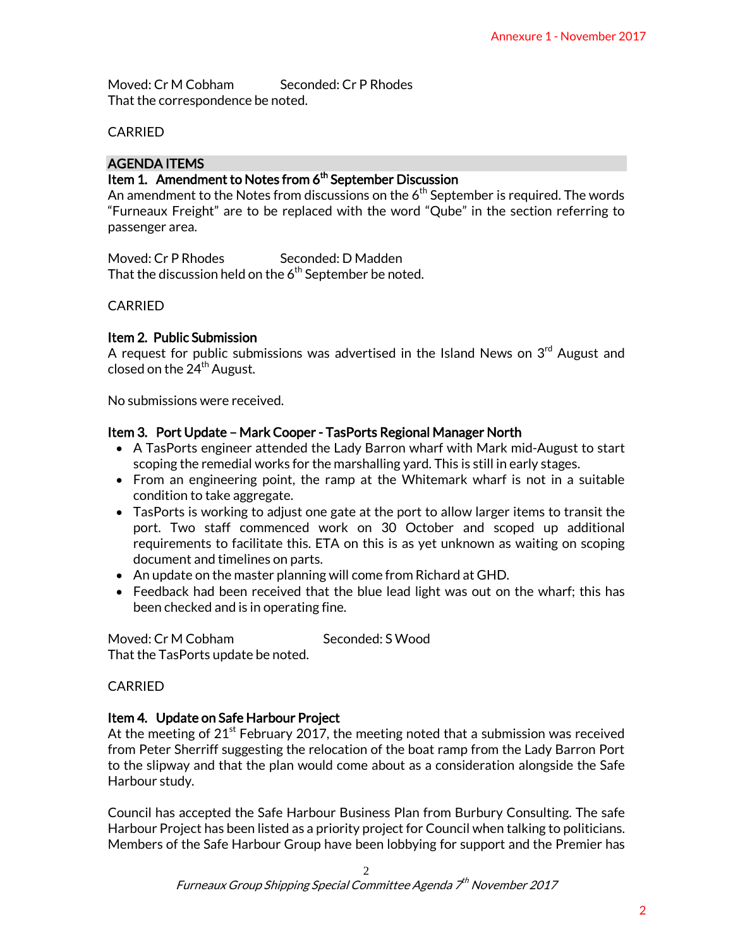Moved: Cr M Cobham Seconded: Cr P Rhodes That the correspondence be noted.

# CARRIED

# AGENDA ITEMS

# Item 1. Amendment to Notes from 6<sup>th</sup> September Discussion

An amendment to the Notes from discussions on the  $6<sup>th</sup>$  September is required. The words "Furneaux Freight" are to be replaced with the word "Qube" in the section referring to passenger area.

Moved: Cr P Rhodes Seconded: D Madden That the discussion held on the  $6<sup>th</sup>$  September be noted.

# CARRIED

# Item 2. Public Submission

A request for public submissions was advertised in the Island News on  $3<sup>rd</sup>$  August and closed on the  $24<sup>th</sup>$  August.

No submissions were received.

# Item 3. Port Update – Mark Cooper - TasPorts Regional Manager North

- A TasPorts engineer attended the Lady Barron wharf with Mark mid-August to start scoping the remedial works for the marshalling yard. This is still in early stages.
- From an engineering point, the ramp at the Whitemark wharf is not in a suitable condition to take aggregate.
- TasPorts is working to adjust one gate at the port to allow larger items to transit the port. Two staff commenced work on 30 October and scoped up additional requirements to facilitate this. ETA on this is as yet unknown as waiting on scoping document and timelines on parts. Annexure 1 - November 2017<br>
is required. The words<br>
the section referring to<br>
tevs on 3<sup>rd</sup> August and<br>
evs on 3<sup>rd</sup> August and<br>
ark mid-August to start<br>
lin early stages.<br>
arf is not in a suitable<br>
ger items to transit th
- An update on the master planning will come from Richard at GHD.
- Feedback had been received that the blue lead light was out on the wharf; this has been checked and is in operating fine.

Moved: Cr M Cobham Seconded: S Wood That the TasPorts update be noted.

# CARRIED

# Item 4. Update on Safe Harbour Project

At the meeting of  $21^{st}$  February 2017, the meeting noted that a submission was received from Peter Sherriff suggesting the relocation of the boat ramp from the Lady Barron Port to the slipway and that the plan would come about as a consideration alongside the Safe Harbour study.

Council has accepted the Safe Harbour Business Plan from Burbury Consulting. The safe Harbour Project has been listed as a priority project for Council when talking to politicians. Members of the Safe Harbour Group have been lobbying for support and the Premier has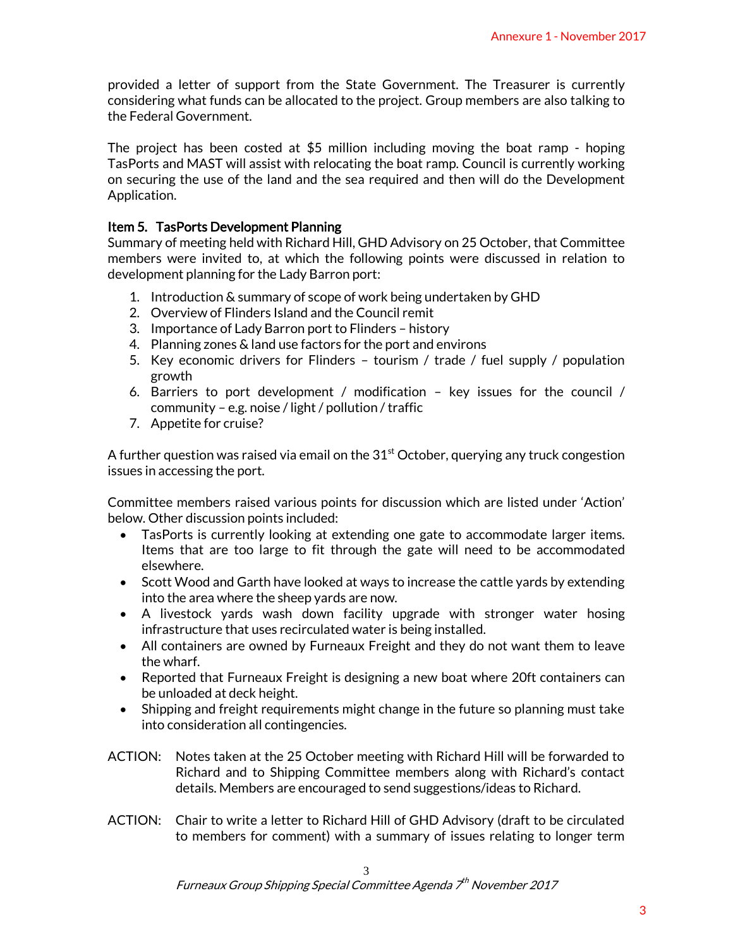provided a letter of support from the State Government. The Treasurer is currently considering what funds can be allocated to the project. Group members are also talking to the Federal Government.

The project has been costed at \$5 million including moving the boat ramp - hoping TasPorts and MAST will assist with relocating the boat ramp. Council is currently working on securing the use of the land and the sea required and then will do the Development Application. Annexure 1 - November 2017<br>Treasurer is currently<br>bbers are also talking to<br>the boat ramp - hoping<br>cil is currently working<br>ill do the Development<br>ctober, that Committee<br>iscussed in relation to<br>by GHD<br>nel supply / populati

#### Item 5. TasPorts Development Planning

Summary of meeting held with Richard Hill, GHD Advisory on 25 October, that Committee members were invited to, at which the following points were discussed in relation to development planning for the Lady Barron port:

- 1. Introduction & summary of scope of work being undertaken by GHD
- 2. Overview of Flinders Island and the Council remit
- 3. Importance of Lady Barron port to Flinders history
- 4. Planning zones & land use factors for the port and environs
- 5. Key economic drivers for Flinders tourism / trade / fuel supply / population growth
- 6. Barriers to port development / modification key issues for the council / community – e.g. noise / light / pollution / traffic
- 7. Appetite for cruise?

A further question was raised via email on the  $31^{\rm st}$  October, querying any truck congestion issues in accessing the port.

Committee members raised various points for discussion which are listed under 'Action' below. Other discussion points included:

- TasPorts is currently looking at extending one gate to accommodate larger items. Items that are too large to fit through the gate will need to be accommodated elsewhere.
- Scott Wood and Garth have looked at ways to increase the cattle yards by extending into the area where the sheep yards are now.
- A livestock yards wash down facility upgrade with stronger water hosing infrastructure that uses recirculated water is being installed.
- All containers are owned by Furneaux Freight and they do not want them to leave the wharf.
- Reported that Furneaux Freight is designing a new boat where 20ft containers can be unloaded at deck height.
- Shipping and freight requirements might change in the future so planning must take into consideration all contingencies.
- ACTION: Notes taken at the 25 October meeting with Richard Hill will be forwarded to Richard and to Shipping Committee members along with Richard's contact details. Members are encouraged to send suggestions/ideas to Richard.
- ACTION: Chair to write a letter to Richard Hill of GHD Advisory (draft to be circulated to members for comment) with a summary of issues relating to longer term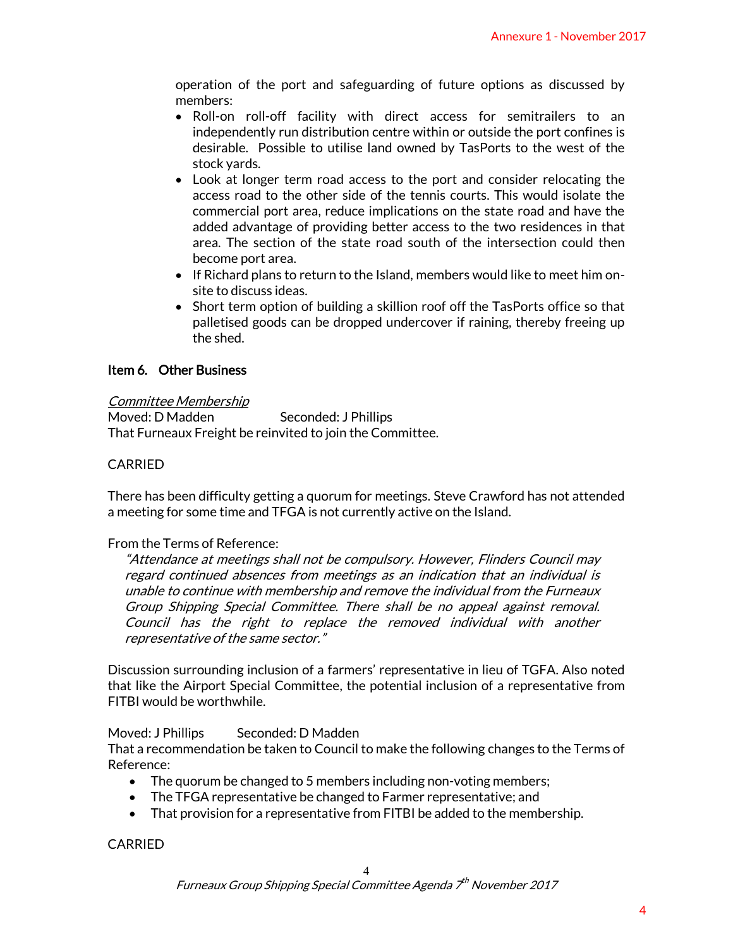operation of the port and safeguarding of future options as discussed by members:

- $\bullet$  Roll-on roll-off facility with direct access for semitrailers to an independently run distribution centre within or outside the port confines is desirable. Possible to utilise land owned by TasPorts to the west of the stock yards.
- Look at longer term road access to the port and consider relocating the access road to the other side of the tennis courts. This would isolate the commercial port area, reduce implications on the state road and have the added advantage of providing better access to the two residences in that area. The section of the state road south of the intersection could then become port area. Annexure 1 - November 2017<br>
ations as discussed by<br>
r semitrailers to an<br>
side the port confines is<br>
orsts to the west of the<br>
consider relocating the<br>
This would isolate the<br>
two residences in that<br>
the two residences in
- If Richard plans to return to the Island, members would like to meet him onsite to discuss ideas.
- Short term option of building a skillion roof off the TasPorts office so that palletised goods can be dropped undercover if raining, thereby freeing up the shed.

# Item 6. Other Business

#### Committee Membership

Moved: D Madden Seconded: J Phillips That Furneaux Freight be reinvited to join the Committee.

# CARRIED

There has been difficulty getting a quorum for meetings. Steve Crawford has not attended a meeting for some time and TFGA is not currently active on the Island.

#### From the Terms of Reference:

"Attendance at meetings shall not be compulsory. However, Flinders Council may regard continued absences from meetings as an indication that an individual is unable to continue with membership and remove the individual from the Furneaux Group Shipping Special Committee. There shall be no appeal against removal. Council has the right to replace the removed individual with another representative of the same sector."

Discussion surrounding inclusion of a farmers' representative in lieu of TGFA. Also noted that like the Airport Special Committee, the potential inclusion of a representative from FITBI would be worthwhile.

#### Moved: J Phillips Seconded: D Madden

That a recommendation be taken to Council to make the following changes to the Terms of Reference:

- The quorum be changed to 5 members including non-voting members;
- The TFGA representative be changed to Farmer representative; and
- That provision for a representative from FITBI be added to the membership.

CARRIED